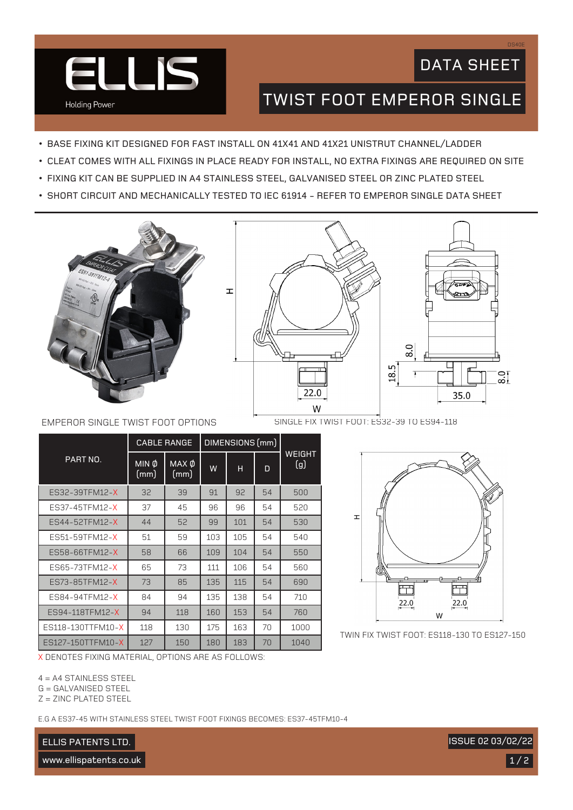

### DATA SHEET

DS40E

# TWIST FOOT EMPEROR SINGLE

- BASE FIXING KIT DESIGNED FOR FAST INSTALL ON 41X41 AND 41X21 UNISTRUT CHANNEL/LADDER
- CLEAT COMES WITH ALL FIXINGS IN PLACE READY FOR INSTALL, NO EXTRA FIXINGS ARE REQUIRED ON SITE
- FIXING KIT CAN BE SUPPLIED IN A4 STAINLESS STEEL, GALVANISED STEEL OR ZINC PLATED STEEL

 $\pm$ 

• SHORT CIRCUIT AND MECHANICALLY TESTED TO IEC 61914 - REFER TO EMPEROR SINGLE DATA SHEET







EMPEROR SINGLE TWIST FOOT OPTIONS

SINGLE FIX TWIST FOOT: ES32-39 TO ES94-118

| PART NO.          | <b>CABLE RANGE</b> |               | DIMENSIONS (mm) |     |    |               |
|-------------------|--------------------|---------------|-----------------|-----|----|---------------|
|                   | MIN Φ<br>(mm)      | MAX Ø<br>(mm) | W               | н   | D  | WEIGHT<br>(g) |
| ES32-39TFM12-X    | 32                 | 39            | 91              | 92  | 54 | 500           |
| ES37-45TFM12-X    | 37                 | 45            | 96              | 96  | 54 | 520           |
| ES44-52TFM12-X    | 44                 | 52            | 99              | 101 | 54 | 530           |
| ES51-59TFM12-X    | 51                 | 59            | 103             | 105 | 54 | 540           |
| ES58-66TFM12-X    | 58                 | 66            | 109             | 104 | 54 | 550           |
| ES65-73TFM12-X    | 65                 | 73            | 111             | 106 | 54 | 560           |
| ES73-85TFM12-X    | 73                 | 85            | 135             | 115 | 54 | 690           |
| ES84-94TFM12-X    | 84                 | 94            | 135             | 138 | 54 | 710           |
| ES94-118TFM12-X   | 94                 | 118           | 160             | 153 | 54 | 760           |
| ES118-130TTFM10-X | 118                | 130           | 175             | 163 | 70 | 1000          |
| ES127-150TTFM10-X | 127                | 150           | 180             | 183 | 70 | 1040          |



TWIN FIX TWIST FOOT: ES118-130 TO ES127-150

X DENOTES FIXING MATERIAL, OPTIONS ARE AS FOLLOWS:

4 = A4 STAINLESS STEEL

G = GALVANISED STEEL

Z = ZINC PLATED STEEL

E.G A ES37-45 WITH STAINLESS STEEL TWIST FOOT FIXINGS BECOMES: ES37-45TFM10-4

www.ellispatents.co.uk ELLIS PATENTS LTD.

 $1/2$ ISSUE 02 03/02/22